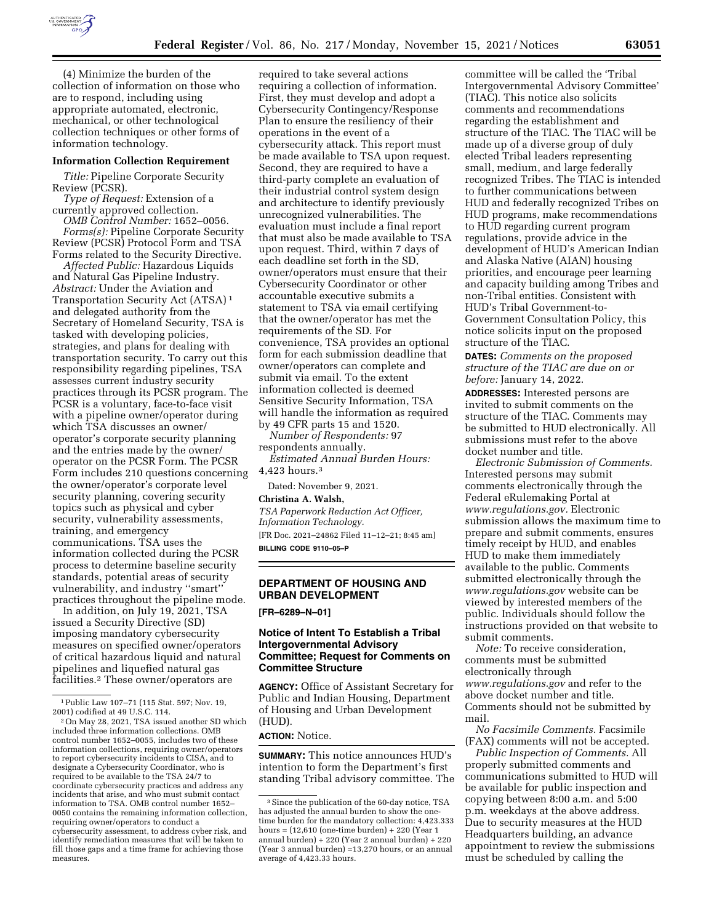

(4) Minimize the burden of the collection of information on those who are to respond, including using appropriate automated, electronic, mechanical, or other technological collection techniques or other forms of information technology.

#### **Information Collection Requirement**

*Title:* Pipeline Corporate Security Review (PCSR).

*Type of Request:* Extension of a currently approved collection.

*OMB Control Number:* 1652–0056. *Forms(s):* Pipeline Corporate Security Review (PCSR) Protocol Form and TSA Forms related to the Security Directive.

*Affected Public:* Hazardous Liquids and Natural Gas Pipeline Industry. *Abstract:* Under the Aviation and Transportation Security Act (ATSA) 1 and delegated authority from the Secretary of Homeland Security, TSA is tasked with developing policies, strategies, and plans for dealing with transportation security. To carry out this responsibility regarding pipelines, TSA assesses current industry security practices through its PCSR program. The PCSR is a voluntary, face-to-face visit with a pipeline owner/operator during which TSA discusses an owner/ operator's corporate security planning and the entries made by the owner/ operator on the PCSR Form. The PCSR Form includes 210 questions concerning the owner/operator's corporate level security planning, covering security topics such as physical and cyber security, vulnerability assessments, training, and emergency communications. TSA uses the information collected during the PCSR process to determine baseline security standards, potential areas of security vulnerability, and industry ''smart'' practices throughout the pipeline mode.

In addition, on July 19, 2021, TSA issued a Security Directive (SD) imposing mandatory cybersecurity measures on specified owner/operators of critical hazardous liquid and natural pipelines and liquefied natural gas facilities.2 These owner/operators are

required to take several actions requiring a collection of information. First, they must develop and adopt a Cybersecurity Contingency/Response Plan to ensure the resiliency of their operations in the event of a cybersecurity attack. This report must be made available to TSA upon request. Second, they are required to have a third-party complete an evaluation of their industrial control system design and architecture to identify previously unrecognized vulnerabilities. The evaluation must include a final report that must also be made available to TSA upon request. Third, within 7 days of each deadline set forth in the SD, owner/operators must ensure that their Cybersecurity Coordinator or other accountable executive submits a statement to TSA via email certifying that the owner/operator has met the requirements of the SD. For convenience, TSA provides an optional form for each submission deadline that owner/operators can complete and submit via email. To the extent information collected is deemed Sensitive Security Information, TSA will handle the information as required by 49 CFR parts 15 and 1520.

*Number of Respondents:* 97 respondents annually.

*Estimated Annual Burden Hours:*  4,423 hours.3

Dated: November 9, 2021.

**Christina A. Walsh,** 

*TSA Paperwork Reduction Act Officer, Information Technology.* 

[FR Doc. 2021–24862 Filed 11–12–21; 8:45 am] **BILLING CODE 9110–05–P** 

# **DEPARTMENT OF HOUSING AND URBAN DEVELOPMENT**

**[FR–6289–N–01]** 

# **Notice of Intent To Establish a Tribal Intergovernmental Advisory Committee; Request for Comments on Committee Structure**

**AGENCY:** Office of Assistant Secretary for Public and Indian Housing, Department of Housing and Urban Development (HUD).

**ACTION:** Notice.

**SUMMARY:** This notice announces HUD's intention to form the Department's first standing Tribal advisory committee. The

committee will be called the 'Tribal Intergovernmental Advisory Committee' (TIAC). This notice also solicits comments and recommendations regarding the establishment and structure of the TIAC. The TIAC will be made up of a diverse group of duly elected Tribal leaders representing small, medium, and large federally recognized Tribes. The TIAC is intended to further communications between HUD and federally recognized Tribes on HUD programs, make recommendations to HUD regarding current program regulations, provide advice in the development of HUD's American Indian and Alaska Native (AIAN) housing priorities, and encourage peer learning and capacity building among Tribes and non-Tribal entities. Consistent with HUD's Tribal Government-to-Government Consultation Policy, this notice solicits input on the proposed structure of the TIAC.

**DATES:** *Comments on the proposed structure of the TIAC are due on or before:* January 14, 2022.

**ADDRESSES:** Interested persons are invited to submit comments on the structure of the TIAC. Comments may be submitted to HUD electronically. All submissions must refer to the above docket number and title.

*Electronic Submission of Comments.*  Interested persons may submit comments electronically through the Federal eRulemaking Portal at *[www.regulations.gov.](http://www.regulations.gov)* Electronic submission allows the maximum time to prepare and submit comments, ensures timely receipt by HUD, and enables HUD to make them immediately available to the public. Comments submitted electronically through the *[www.regulations.gov](http://www.regulations.gov)* website can be viewed by interested members of the public. Individuals should follow the instructions provided on that website to submit comments.

*Note:* To receive consideration, comments must be submitted electronically through *[www.regulations.gov](http://www.regulations.gov)* and refer to the above docket number and title. Comments should not be submitted by mail.

*No Facsimile Comments.* Facsimile (FAX) comments will not be accepted.

*Public Inspection of Comments.* All properly submitted comments and communications submitted to HUD will be available for public inspection and copying between 8:00 a.m. and 5:00 p.m. weekdays at the above address. Due to security measures at the HUD Headquarters building, an advance appointment to review the submissions must be scheduled by calling the

<sup>&</sup>lt;sup>1</sup>Public Law 107–71 (115 Stat. 597; Nov. 19, 2001) codified at 49 U.S.C. 114.

<sup>&</sup>lt;sup>2</sup> On May 28, 2021, TSA issued another SD which included three information collections. OMB control number 1652–0055, includes two of these information collections, requiring owner/operators to report cybersecurity incidents to CISA, and to designate a Cybersecurity Coordinator, who is required to be available to the TSA 24/7 to coordinate cybersecurity practices and address any incidents that arise, and who must submit contact information to TSA. OMB control number 1652– 0050 contains the remaining information collection, requiring owner/operators to conduct a cybersecurity assessment, to address cyber risk, and identify remediation measures that will be taken to fill those gaps and a time frame for achieving those measures.

<sup>3</sup>Since the publication of the 60-day notice, TSA has adjusted the annual burden to show the onetime burden for the mandatory collection: 4,423.333 hours = (12,610 (one-time burden) + 220 (Year 1 annual burden) + 220 (Year 2 annual burden) + 220 (Year 3 annual burden) =13,270 hours, or an annual average of 4,423.33 hours.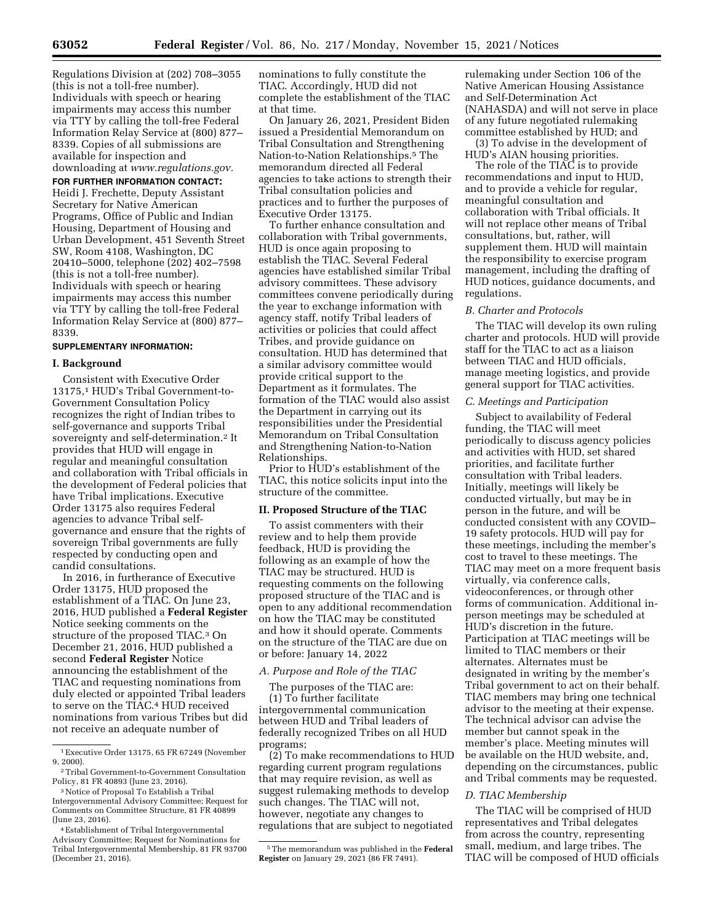Regulations Division at (202) 708–3055 (this is not a toll-free number). Individuals with speech or hearing impairments may access this number via TTY by calling the toll-free Federal Information Relay Service at (800) 877– 8339. Copies of all submissions are available for inspection and downloading at *[www.regulations.gov.](http://www.regulations.gov)* 

**FOR FURTHER INFORMATION CONTACT:**  Heidi J. Frechette, Deputy Assistant Secretary for Native American Programs, Office of Public and Indian Housing, Department of Housing and Urban Development, 451 Seventh Street SW, Room 4108, Washington, DC 20410–5000, telephone (202) 402–7598 (this is not a toll-free number). Individuals with speech or hearing impairments may access this number via TTY by calling the toll-free Federal Information Relay Service at (800) 877– 8339.

#### **SUPPLEMENTARY INFORMATION:**

#### **I. Background**

Consistent with Executive Order 13175,1 HUD's Tribal Government-to-Government Consultation Policy recognizes the right of Indian tribes to self-governance and supports Tribal sovereignty and self-determination.2 It provides that HUD will engage in regular and meaningful consultation and collaboration with Tribal officials in the development of Federal policies that have Tribal implications. Executive Order 13175 also requires Federal agencies to advance Tribal selfgovernance and ensure that the rights of sovereign Tribal governments are fully respected by conducting open and candid consultations.

In 2016, in furtherance of Executive Order 13175, HUD proposed the establishment of a TIAC. On June 23, 2016, HUD published a **Federal Register**  Notice seeking comments on the structure of the proposed TIAC.3 On December 21, 2016, HUD published a second **Federal Register** Notice announcing the establishment of the TIAC and requesting nominations from duly elected or appointed Tribal leaders to serve on the TIAC.4 HUD received nominations from various Tribes but did not receive an adequate number of

4Establishment of Tribal Intergovernmental Advisory Committee; Request for Nominations for Tribal Intergovernmental Membership, 81 FR 93700 (December 21, 2016).

nominations to fully constitute the TIAC. Accordingly, HUD did not complete the establishment of the TIAC at that time.

On January 26, 2021, President Biden issued a Presidential Memorandum on Tribal Consultation and Strengthening Nation-to-Nation Relationships.5 The memorandum directed all Federal agencies to take actions to strength their Tribal consultation policies and practices and to further the purposes of Executive Order 13175.

To further enhance consultation and collaboration with Tribal governments, HUD is once again proposing to establish the TIAC. Several Federal agencies have established similar Tribal advisory committees. These advisory committees convene periodically during the year to exchange information with agency staff, notify Tribal leaders of activities or policies that could affect Tribes, and provide guidance on consultation. HUD has determined that a similar advisory committee would provide critical support to the Department as it formulates. The formation of the TIAC would also assist the Department in carrying out its responsibilities under the Presidential Memorandum on Tribal Consultation and Strengthening Nation-to-Nation Relationships.

Prior to HUD's establishment of the TIAC, this notice solicits input into the structure of the committee.

#### **II. Proposed Structure of the TIAC**

To assist commenters with their review and to help them provide feedback, HUD is providing the following as an example of how the TIAC may be structured. HUD is requesting comments on the following proposed structure of the TIAC and is open to any additional recommendation on how the TIAC may be constituted and how it should operate. Comments on the structure of the TIAC are due on or before: January 14, 2022

# *A. Purpose and Role of the TIAC*

The purposes of the TIAC are: (1) To further facilitate intergovernmental communication between HUD and Tribal leaders of

federally recognized Tribes on all HUD programs;

(2) To make recommendations to HUD regarding current program regulations that may require revision, as well as suggest rulemaking methods to develop such changes. The TIAC will not, however, negotiate any changes to regulations that are subject to negotiated

rulemaking under Section 106 of the Native American Housing Assistance and Self-Determination Act (NAHASDA) and will not serve in place of any future negotiated rulemaking committee established by HUD; and

(3) To advise in the development of HUD's AIAN housing priorities.

The role of the TIAC is to provide recommendations and input to HUD, and to provide a vehicle for regular, meaningful consultation and collaboration with Tribal officials. It will not replace other means of Tribal consultations, but, rather, will supplement them. HUD will maintain the responsibility to exercise program management, including the drafting of HUD notices, guidance documents, and regulations.

#### *B. Charter and Protocols*

The TIAC will develop its own ruling charter and protocols. HUD will provide staff for the TIAC to act as a liaison between TIAC and HUD officials, manage meeting logistics, and provide general support for TIAC activities.

# *C. Meetings and Participation*

Subject to availability of Federal funding, the TIAC will meet periodically to discuss agency policies and activities with HUD, set shared priorities, and facilitate further consultation with Tribal leaders. Initially, meetings will likely be conducted virtually, but may be in person in the future, and will be conducted consistent with any COVID– 19 safety protocols. HUD will pay for these meetings, including the member's cost to travel to these meetings. The TIAC may meet on a more frequent basis virtually, via conference calls, videoconferences, or through other forms of communication. Additional inperson meetings may be scheduled at HUD's discretion in the future. Participation at TIAC meetings will be limited to TIAC members or their alternates. Alternates must be designated in writing by the member's Tribal government to act on their behalf. TIAC members may bring one technical advisor to the meeting at their expense. The technical advisor can advise the member but cannot speak in the member's place. Meeting minutes will be available on the HUD website, and, depending on the circumstances, public and Tribal comments may be requested.

### *D. TIAC Membership*

The TIAC will be comprised of HUD representatives and Tribal delegates from across the country, representing small, medium, and large tribes. The TIAC will be composed of HUD officials

<sup>1</sup>Executive Order 13175, 65 FR 67249 (November 9, 2000).

<sup>2</sup>Tribal Government-to-Government Consultation Policy, 81 FR 40893 (June 23, 2016).

<sup>3</sup>Notice of Proposal To Establish a Tribal Intergovernmental Advisory Committee; Request for Comments on Committee Structure, 81 FR 40899 (June 23, 2016).

<sup>5</sup>The memorandum was published in the **Federal Register** on January 29, 2021 (86 FR 7491).